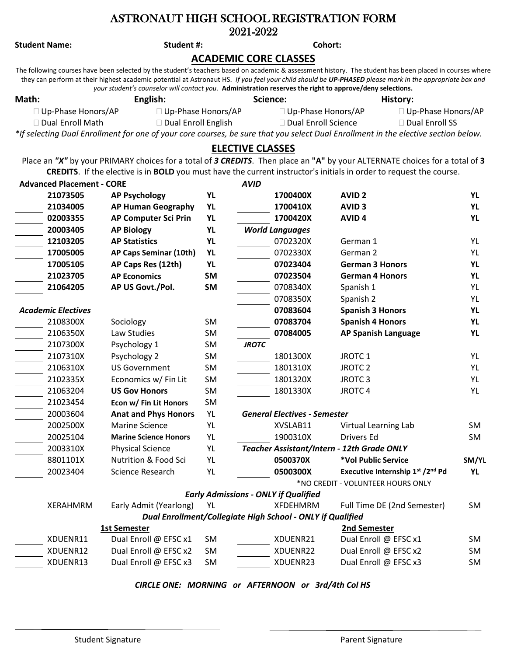## ASTRONAUT HIGH SCHOOL REGISTRATION FORM 2021-2022

## **Student Name: Student #: Cohort: ACADEMIC CORE CLASSES** The following courses have been selected by the student's teachers based on academic & assessment history. The student has been placed in courses where they can perform at their highest academic potential at Astronaut HS. *If you feel your child should be UP-PHASED please mark in the appropriate box and your student's counselor will contact you.* **Administration reserves the right to approve/deny selections. Math: English: Science: History:** Up-Phase Honors/AP Up-Phase Honors/AP Up-Phase Honors/AP Up-Phase Honors/AP Dual Enroll Math Dual Enroll English Dual Enroll Science Dual Enroll SS *\*If selecting Dual Enrollment for one of your core courses, be sure that you select Dual Enrollment in the elective section below.* **ELECTIVE CLASSES** Place an *"X"* by your PRIMARY choices for a total of *3 CREDITS*. Then place an **"A"** by your ALTERNATE choices for a total of **3 CREDITS**. If the elective is in **BOLD** you must have the current instructor's initials in order to request the course. **Advanced Placement - CORE** *AVID* **21073505 AP Psychology YL 1700400X AVID 2 YL 21034005 AP Human Geography YL 1700410X AVID 3 YL 02003355 AP Computer Sci Prin YL 1700420X AVID 4 YL 20003405 AP Biology YL** *World Languages* **12103205 AP Statistics YL** 0702320X German 1 YL **17005005 AP Caps Seminar (10th) YL** 0702330X German 2 YL **17005105 AP Caps Res (12th) YL 07023404 German 3 Honors YL 21023705 AP Economics SM 07023504 German 4 Honors YL 21064205 AP US Govt./Pol. SM** 0708340X Spanish 1 YL 0708350X Spanish 2 YL *Academic Electives* **07083604 Spanish 3 Honors YL** 2108300X Sociology SM **07083704 Spanish 4 Honors YL** 2106350X Law Studies SM **07084005 AP Spanish Language YL** 2107300X Psychology 1 SM *JROTC* 2107310X Psychology 2 SM 1801300X JROTC 1 YL 2106310X US Government SM 1801310X JROTC 2 YL 2102335X Economics w/ Fin Lit SM 1801320X JROTC 3 YL 21063204 **US Gov Honors** SM 1801330X JROTC 4 YL 21023454 **Econ w/ Fin Lit Honors** SM 20003604 **Anat and Phys Honors** YL *General Electives - Semester* 2002500X Marine Science YL XVSLAB11 Virtual Learning Lab SM 20025104 **Marine Science Honors** YL 1900310X Drivers Ed SM 2003310X Physical Science YL *Teacher Assistant/Intern - 12th Grade ONLY* 8801101X Nutrition & Food Sci YL **0500370X \*Vol Public Service SM/YL** 20023404 Science Research YL **0500300X Executive Internship 1st /2nd Pd YL** \*NO CREDIT - VOLUNTEER HOURS ONLY *Early Admissions - ONLY if Qualified* XERAHMRM Early Admit (Yearlong) YL XFDEHMRM Full Time DE (2nd Semester) SM *Dual Enrollment/Collegiate High School - ONLY if Qualified* **1st Semester 2nd Semester** XDUENR11 Dual Enroll @ EFSC x1 SM XDUENR21 Dual Enroll @ EFSC x1 SM XDUENR12 Dual Enroll @ EFSC x2 SM XDUENR22 Dual Enroll @ EFSC x2 SM XDUENR13 Dual Enroll @ EFSC x3 SM XDUENR23 Dual Enroll @ EFSC x3 SM

*CIRCLE ONE: MORNING or AFTERNOON or 3rd/4th Col HS*